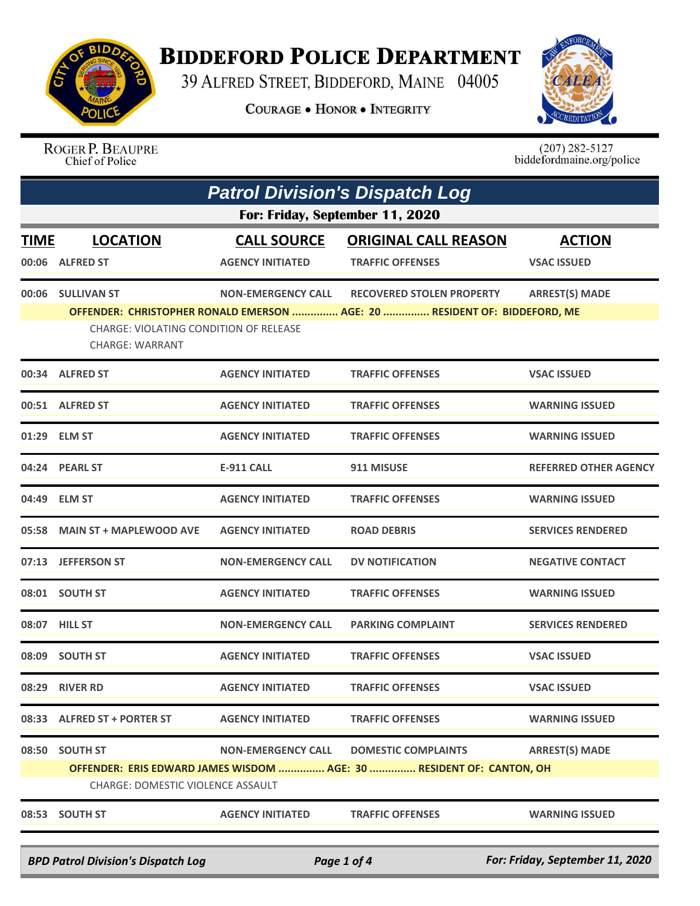

## **BIDDEFORD POLICE DEPARTMENT**

39 ALFRED STREET, BIDDEFORD, MAINE 04005

**COURAGE . HONOR . INTEGRITY** 



ROGER P. BEAUPRE Chief of Police

 $(207)$  282-5127<br>biddefordmaine.org/police

|             | <b>Patrol Division's Dispatch Log</b>                                                                     |                           |                                                                           |                              |  |  |
|-------------|-----------------------------------------------------------------------------------------------------------|---------------------------|---------------------------------------------------------------------------|------------------------------|--|--|
|             | For: Friday, September 11, 2020                                                                           |                           |                                                                           |                              |  |  |
| <u>TIME</u> | <b>LOCATION</b>                                                                                           | <b>CALL SOURCE</b>        | <b>ORIGINAL CALL REASON</b>                                               | <b>ACTION</b>                |  |  |
|             | 00:06 ALFRED ST                                                                                           | <b>AGENCY INITIATED</b>   | <b>TRAFFIC OFFENSES</b>                                                   | <b>VSAC ISSUED</b>           |  |  |
| 00:06       | <b>SULLIVAN ST</b>                                                                                        | <b>NON-EMERGENCY CALL</b> | <b>RECOVERED STOLEN PROPERTY</b>                                          | <b>ARREST(S) MADE</b>        |  |  |
|             | CHARGE: VIOLATING CONDITION OF RELEASE<br><b>CHARGE: WARRANT</b>                                          |                           | OFFENDER: CHRISTOPHER RONALD EMERSON  AGE: 20  RESIDENT OF: BIDDEFORD, ME |                              |  |  |
|             | 00:34 ALFRED ST                                                                                           | <b>AGENCY INITIATED</b>   | <b>TRAFFIC OFFENSES</b>                                                   | <b>VSAC ISSUED</b>           |  |  |
|             | 00:51 ALFRED ST                                                                                           | <b>AGENCY INITIATED</b>   | <b>TRAFFIC OFFENSES</b>                                                   | <b>WARNING ISSUED</b>        |  |  |
|             | 01:29 ELM ST                                                                                              | <b>AGENCY INITIATED</b>   | <b>TRAFFIC OFFENSES</b>                                                   | <b>WARNING ISSUED</b>        |  |  |
|             | 04:24 PEARL ST                                                                                            | <b>E-911 CALL</b>         | 911 MISUSE                                                                | <b>REFERRED OTHER AGENCY</b> |  |  |
|             | 04:49 ELM ST                                                                                              | <b>AGENCY INITIATED</b>   | <b>TRAFFIC OFFENSES</b>                                                   | <b>WARNING ISSUED</b>        |  |  |
|             | 05:58 MAIN ST + MAPLEWOOD AVE                                                                             | <b>AGENCY INITIATED</b>   | <b>ROAD DEBRIS</b>                                                        | <b>SERVICES RENDERED</b>     |  |  |
|             | 07:13 JEFFERSON ST                                                                                        | <b>NON-EMERGENCY CALL</b> | <b>DV NOTIFICATION</b>                                                    | <b>NEGATIVE CONTACT</b>      |  |  |
|             | 08:01 SOUTH ST                                                                                            | <b>AGENCY INITIATED</b>   | <b>TRAFFIC OFFENSES</b>                                                   | <b>WARNING ISSUED</b>        |  |  |
|             | 08:07 HILL ST                                                                                             | <b>NON-EMERGENCY CALL</b> | <b>PARKING COMPLAINT</b>                                                  | <b>SERVICES RENDERED</b>     |  |  |
|             | 08:09 SOUTH ST                                                                                            | <b>AGENCY INITIATED</b>   | <b>TRAFFIC OFFENSES</b>                                                   | <b>VSAC ISSUED</b>           |  |  |
|             | 08:29 RIVER RD                                                                                            | <b>AGENCY INITIATED</b>   | <b>TRAFFIC OFFENSES</b>                                                   | <b>VSAC ISSUED</b>           |  |  |
|             | 08:33 ALFRED ST + PORTER ST                                                                               | <b>AGENCY INITIATED</b>   | <b>TRAFFIC OFFENSES</b>                                                   | <b>WARNING ISSUED</b>        |  |  |
|             | 08:50 SOUTH ST                                                                                            | <b>NON-EMERGENCY CALL</b> | <b>DOMESTIC COMPLAINTS</b>                                                | <b>ARREST(S) MADE</b>        |  |  |
|             | OFFENDER: ERIS EDWARD JAMES WISDOM  AGE: 30  RESIDENT OF: CANTON, OH<br>CHARGE: DOMESTIC VIOLENCE ASSAULT |                           |                                                                           |                              |  |  |
|             | 08:53 SOUTH ST                                                                                            | <b>AGENCY INITIATED</b>   | <b>TRAFFIC OFFENSES</b>                                                   | <b>WARNING ISSUED</b>        |  |  |

*BPD Patrol Division's Dispatch Log Page 1 of 4 For: Friday, September 11, 2020*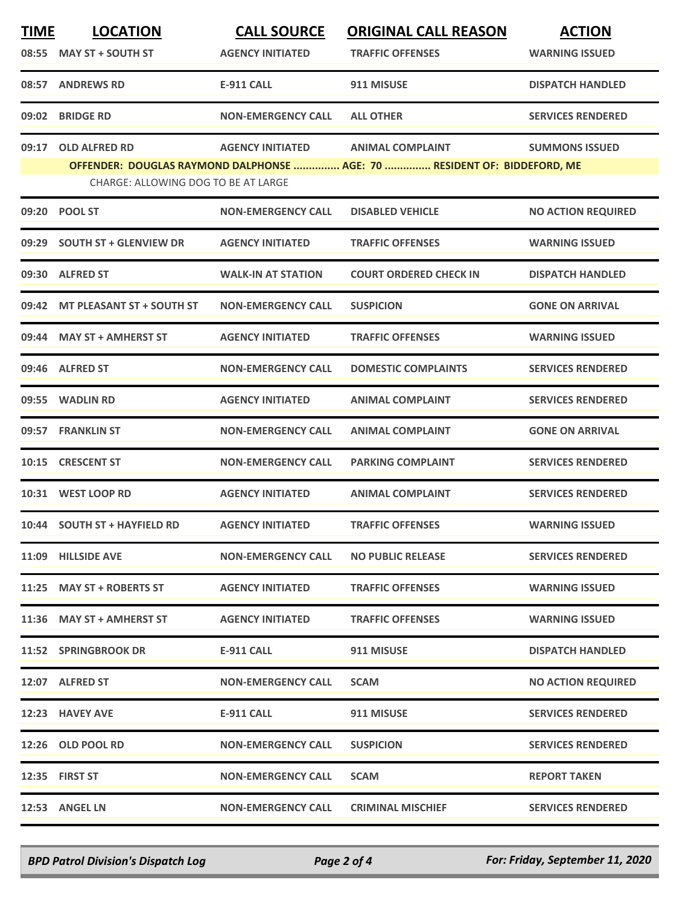| <b>TIME</b><br>08:55 | <b>LOCATION</b><br><b>MAY ST + SOUTH ST</b> | <b>CALL SOURCE</b><br><b>AGENCY INITIATED</b> | <b>ORIGINAL CALL REASON</b><br><b>TRAFFIC OFFENSES</b>                   | <b>ACTION</b><br><b>WARNING ISSUED</b> |
|----------------------|---------------------------------------------|-----------------------------------------------|--------------------------------------------------------------------------|----------------------------------------|
| 08:57                | <b>ANDREWS RD</b>                           | <b>E-911 CALL</b>                             | 911 MISUSE                                                               | <b>DISPATCH HANDLED</b>                |
| 09:02                | <b>BRIDGE RD</b>                            | <b>NON-EMERGENCY CALL</b>                     | <b>ALL OTHER</b>                                                         | <b>SERVICES RENDERED</b>               |
| 09:17                | <b>OLD ALFRED RD</b>                        | <b>AGENCY INITIATED</b>                       | <b>ANIMAL COMPLAINT</b>                                                  | <b>SUMMONS ISSUED</b>                  |
|                      | CHARGE: ALLOWING DOG TO BE AT LARGE         |                                               | OFFENDER: DOUGLAS RAYMOND DALPHONSE  AGE: 70  RESIDENT OF: BIDDEFORD, ME |                                        |
|                      | 09:20 POOL ST                               | <b>NON-EMERGENCY CALL</b>                     | <b>DISABLED VEHICLE</b>                                                  | <b>NO ACTION REQUIRED</b>              |
| 09:29                | <b>SOUTH ST + GLENVIEW DR</b>               | <b>AGENCY INITIATED</b>                       | <b>TRAFFIC OFFENSES</b>                                                  | <b>WARNING ISSUED</b>                  |
|                      | 09:30 ALFRED ST                             | <b>WALK-IN AT STATION</b>                     | <b>COURT ORDERED CHECK IN</b>                                            | <b>DISPATCH HANDLED</b>                |
|                      | 09:42 MT PLEASANT ST + SOUTH ST             | <b>NON-EMERGENCY CALL</b>                     | <b>SUSPICION</b>                                                         | <b>GONE ON ARRIVAL</b>                 |
|                      | 09:44 MAY ST + AMHERST ST                   | <b>AGENCY INITIATED</b>                       | <b>TRAFFIC OFFENSES</b>                                                  | <b>WARNING ISSUED</b>                  |
|                      | 09:46 ALFRED ST                             | <b>NON-EMERGENCY CALL</b>                     | <b>DOMESTIC COMPLAINTS</b>                                               | <b>SERVICES RENDERED</b>               |
|                      | 09:55 WADLIN RD                             | <b>AGENCY INITIATED</b>                       | <b>ANIMAL COMPLAINT</b>                                                  | <b>SERVICES RENDERED</b>               |
| 09:57                | <b>FRANKLIN ST</b>                          | <b>NON-EMERGENCY CALL</b>                     | <b>ANIMAL COMPLAINT</b>                                                  | <b>GONE ON ARRIVAL</b>                 |
| 10:15                | <b>CRESCENT ST</b>                          | <b>NON-EMERGENCY CALL</b>                     | <b>PARKING COMPLAINT</b>                                                 | <b>SERVICES RENDERED</b>               |
|                      | 10:31 WEST LOOP RD                          | <b>AGENCY INITIATED</b>                       | <b>ANIMAL COMPLAINT</b>                                                  | <b>SERVICES RENDERED</b>               |
|                      | 10:44 SOUTH ST + HAYFIELD RD                | <b>AGENCY INITIATED</b>                       | <b>TRAFFIC OFFENSES</b>                                                  | <b>WARNING ISSUED</b>                  |
|                      | 11:09 HILLSIDE AVE                          | <b>NON-EMERGENCY CALL</b>                     | <b>NO PUBLIC RELEASE</b>                                                 | <b>SERVICES RENDERED</b>               |
|                      | 11:25 MAY ST + ROBERTS ST                   | <b>AGENCY INITIATED</b>                       | <b>TRAFFIC OFFENSES</b>                                                  | <b>WARNING ISSUED</b>                  |
|                      | 11:36 MAY ST + AMHERST ST                   | <b>AGENCY INITIATED</b>                       | <b>TRAFFIC OFFENSES</b>                                                  | <b>WARNING ISSUED</b>                  |
|                      | 11:52 SPRINGBROOK DR                        | E-911 CALL                                    | 911 MISUSE                                                               | <b>DISPATCH HANDLED</b>                |
|                      | 12:07 ALFRED ST                             | <b>NON-EMERGENCY CALL</b>                     | <b>SCAM</b>                                                              | <b>NO ACTION REQUIRED</b>              |
|                      | 12:23 HAVEY AVE                             | E-911 CALL                                    | 911 MISUSE                                                               | <b>SERVICES RENDERED</b>               |
|                      | 12:26 OLD POOL RD                           | <b>NON-EMERGENCY CALL</b>                     | <b>SUSPICION</b>                                                         | <b>SERVICES RENDERED</b>               |
|                      | 12:35 FIRST ST                              | <b>NON-EMERGENCY CALL</b>                     | <b>SCAM</b>                                                              | <b>REPORT TAKEN</b>                    |
|                      | 12:53 ANGEL LN                              | <b>NON-EMERGENCY CALL</b>                     | <b>CRIMINAL MISCHIEF</b>                                                 | <b>SERVICES RENDERED</b>               |

*BPD Patrol Division's Dispatch Log Page 2 of 4 For: Friday, September 11, 2020*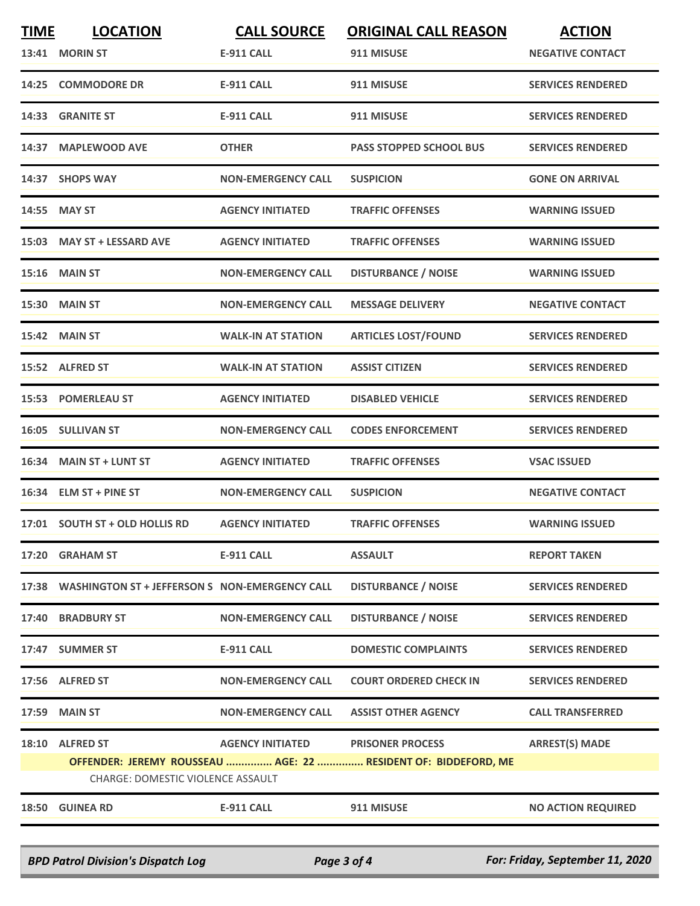| <b>TIME</b><br>13:41 | <b>LOCATION</b><br><b>MORIN ST</b>                           | <b>CALL SOURCE</b><br><b>E-911 CALL</b> | <b>ORIGINAL CALL REASON</b><br>911 MISUSE                                                 | <b>ACTION</b><br><b>NEGATIVE CONTACT</b> |
|----------------------|--------------------------------------------------------------|-----------------------------------------|-------------------------------------------------------------------------------------------|------------------------------------------|
| 14:25                | <b>COMMODORE DR</b>                                          | <b>E-911 CALL</b>                       | 911 MISUSE                                                                                | <b>SERVICES RENDERED</b>                 |
|                      | 14:33 GRANITE ST                                             | <b>E-911 CALL</b>                       | 911 MISUSE                                                                                | <b>SERVICES RENDERED</b>                 |
| 14:37                | <b>MAPLEWOOD AVE</b>                                         | <b>OTHER</b>                            | <b>PASS STOPPED SCHOOL BUS</b>                                                            | <b>SERVICES RENDERED</b>                 |
|                      | 14:37 SHOPS WAY                                              | <b>NON-EMERGENCY CALL</b>               | <b>SUSPICION</b>                                                                          | <b>GONE ON ARRIVAL</b>                   |
| 14:55                | <b>MAY ST</b>                                                | <b>AGENCY INITIATED</b>                 | <b>TRAFFIC OFFENSES</b>                                                                   | <b>WARNING ISSUED</b>                    |
|                      | 15:03 MAY ST + LESSARD AVE                                   | <b>AGENCY INITIATED</b>                 | <b>TRAFFIC OFFENSES</b>                                                                   | <b>WARNING ISSUED</b>                    |
|                      | <b>15:16 MAIN ST</b>                                         | <b>NON-EMERGENCY CALL</b>               | <b>DISTURBANCE / NOISE</b>                                                                | <b>WARNING ISSUED</b>                    |
|                      | 15:30 MAIN ST                                                | <b>NON-EMERGENCY CALL</b>               | <b>MESSAGE DELIVERY</b>                                                                   | <b>NEGATIVE CONTACT</b>                  |
|                      | <b>15:42 MAIN ST</b>                                         | <b>WALK-IN AT STATION</b>               | <b>ARTICLES LOST/FOUND</b>                                                                | <b>SERVICES RENDERED</b>                 |
|                      | 15:52 ALFRED ST                                              | <b>WALK-IN AT STATION</b>               | <b>ASSIST CITIZEN</b>                                                                     | <b>SERVICES RENDERED</b>                 |
|                      | 15:53 POMERLEAU ST                                           | <b>AGENCY INITIATED</b>                 | <b>DISABLED VEHICLE</b>                                                                   | <b>SERVICES RENDERED</b>                 |
|                      | 16:05 SULLIVAN ST                                            | <b>NON-EMERGENCY CALL</b>               | <b>CODES ENFORCEMENT</b>                                                                  | <b>SERVICES RENDERED</b>                 |
| 16:34                | <b>MAIN ST + LUNT ST</b>                                     | <b>AGENCY INITIATED</b>                 | <b>TRAFFIC OFFENSES</b>                                                                   | <b>VSAC ISSUED</b>                       |
|                      | 16:34 ELM ST + PINE ST                                       | <b>NON-EMERGENCY CALL</b>               | <b>SUSPICION</b>                                                                          | <b>NEGATIVE CONTACT</b>                  |
|                      | 17:01 SOUTH ST + OLD HOLLIS RD                               | <b>AGENCY INITIATED</b>                 | <b>TRAFFIC OFFENSES</b>                                                                   | <b>WARNING ISSUED</b>                    |
|                      | 17:20 GRAHAM ST                                              | <b>E-911 CALL</b>                       | <b>ASSAULT</b>                                                                            | <b>REPORT TAKEN</b>                      |
|                      | 17:38 WASHINGTON ST + JEFFERSON S NON-EMERGENCY CALL         |                                         | <b>DISTURBANCE / NOISE</b>                                                                | <b>SERVICES RENDERED</b>                 |
|                      | 17:40 BRADBURY ST                                            | <b>NON-EMERGENCY CALL</b>               | <b>DISTURBANCE / NOISE</b>                                                                | <b>SERVICES RENDERED</b>                 |
|                      | 17:47 SUMMER ST                                              | E-911 CALL                              | <b>DOMESTIC COMPLAINTS</b>                                                                | <b>SERVICES RENDERED</b>                 |
|                      | 17:56 ALFRED ST                                              | <b>NON-EMERGENCY CALL</b>               | <b>COURT ORDERED CHECK IN</b>                                                             | <b>SERVICES RENDERED</b>                 |
|                      | 17:59 MAIN ST                                                | <b>NON-EMERGENCY CALL</b>               | <b>ASSIST OTHER AGENCY</b>                                                                | <b>CALL TRANSFERRED</b>                  |
| 18:10                | <b>ALFRED ST</b><br><b>CHARGE: DOMESTIC VIOLENCE ASSAULT</b> | <b>AGENCY INITIATED</b>                 | <b>PRISONER PROCESS</b><br>OFFENDER: JEREMY ROUSSEAU  AGE: 22  RESIDENT OF: BIDDEFORD, ME | <b>ARREST(S) MADE</b>                    |
|                      | 18:50 GUINEA RD                                              | E-911 CALL                              | 911 MISUSE                                                                                | <b>NO ACTION REQUIRED</b>                |

*BPD Patrol Division's Dispatch Log Page 3 of 4 For: Friday, September 11, 2020*